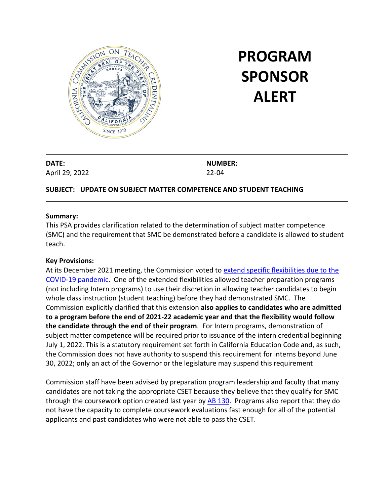

# **PROGRAM SPONSOR ALERT**

**DATE:** April 29, 2022 **NUMBER:** 22-04

## **SUBJECT: UPDATE ON SUBJECT MATTER COMPETENCE AND STUDENT TEACHING**

### **Summary:**

This PSA provides clarification related to the determination of subject matter competence (SMC) and the requirement that SMC be demonstrated before a candidate is allowed to student teach.

### **Key Provisions:**

At its December 2021 meeting, the Commission voted to [extend specific flexibilities due to the](https://www.ctc.ca.gov/docs/default-source/commission/agendas/2021-12/2021-12-2e.pdf?sfvrsn=601925b1_4)  [COVID-19 pandemic.](https://www.ctc.ca.gov/docs/default-source/commission/agendas/2021-12/2021-12-2e.pdf?sfvrsn=601925b1_4) One of the extended flexibilities allowed teacher preparation programs (not including Intern programs) to use their discretion in allowing teacher candidates to begin whole class instruction (student teaching) before they had demonstrated SMC. The Commission explicitly clarified that this extension **also applies to candidates who are admitted to a program before the end of 2021-22 academic year and that the flexibility would follow the candidate through the end of their program**. For Intern programs, demonstration of subject matter competence will be required prior to issuance of the intern credential beginning July 1, 2022. This is a statutory requirement set forth in California Education Code and, as such, the Commission does not have authority to suspend this requirement for interns beyond June 30, 2022; only an act of the Governor or the legislature may suspend this requirement

Commission staff have been advised by preparation program leadership and faculty that many candidates are not taking the appropriate CSET because they believe that they qualify for SMC through the coursework option created last year by [AB 130.](https://leginfo.legislature.ca.gov/faces/billNavClient.xhtml?bill_id=202120220AB130) Programs also report that they do not have the capacity to complete coursework evaluations fast enough for all of the potential applicants and past candidates who were not able to pass the CSET.